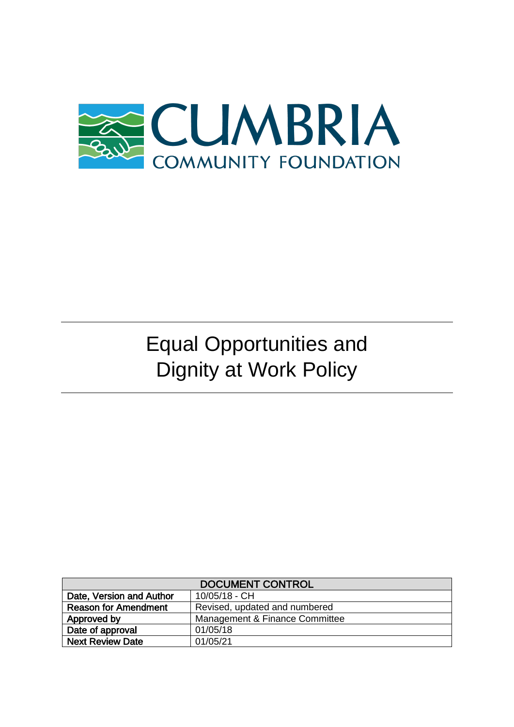

# Equal Opportunities and Dignity at Work Policy

| <b>DOCUMENT CONTROL</b>     |                                |
|-----------------------------|--------------------------------|
| Date, Version and Author    | 10/05/18 - CH                  |
| <b>Reason for Amendment</b> | Revised, updated and numbered  |
| Approved by                 | Management & Finance Committee |
| Date of approval            | 01/05/18                       |
| <b>Next Review Date</b>     | 01/05/21                       |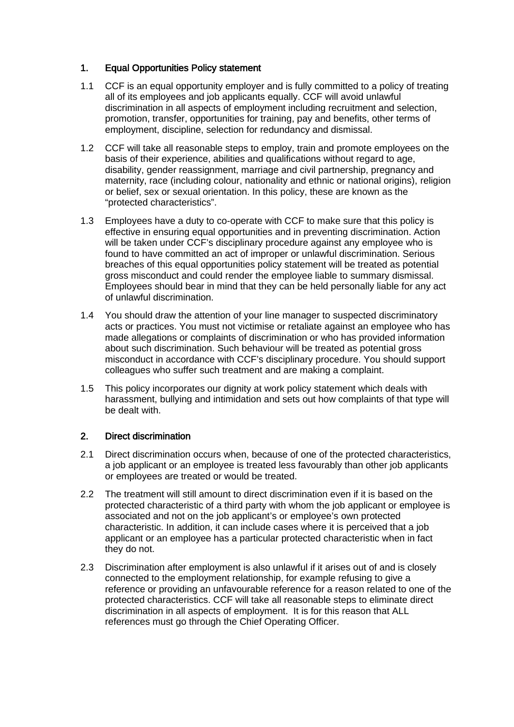## 1. Equal Opportunities Policy statement

- 1.1 CCF is an equal opportunity employer and is fully committed to a policy of treating all of its employees and job applicants equally. CCF will avoid unlawful discrimination in all aspects of employment including recruitment and selection, promotion, transfer, opportunities for training, pay and benefits, other terms of employment, discipline, selection for redundancy and dismissal.
- 1.2 CCF will take all reasonable steps to employ, train and promote employees on the basis of their experience, abilities and qualifications without regard to age, disability, gender reassignment, marriage and civil partnership, pregnancy and maternity, race (including colour, nationality and ethnic or national origins), religion or belief, sex or sexual orientation. In this policy, these are known as the "protected characteristics".
- 1.3 Employees have a duty to co-operate with CCF to make sure that this policy is effective in ensuring equal opportunities and in preventing discrimination. Action will be taken under CCF's disciplinary procedure against any employee who is found to have committed an act of improper or unlawful discrimination. Serious breaches of this equal opportunities policy statement will be treated as potential gross misconduct and could render the employee liable to summary dismissal. Employees should bear in mind that they can be held personally liable for any act of unlawful discrimination.
- 1.4 You should draw the attention of your line manager to suspected discriminatory acts or practices. You must not victimise or retaliate against an employee who has made allegations or complaints of discrimination or who has provided information about such discrimination. Such behaviour will be treated as potential gross misconduct in accordance with CCF's disciplinary procedure. You should support colleagues who suffer such treatment and are making a complaint.
- 1.5 This policy incorporates our dignity at work policy statement which deals with harassment, bullying and intimidation and sets out how complaints of that type will be dealt with.

# 2. Direct discrimination

- 2.1 Direct discrimination occurs when, because of one of the protected characteristics, a job applicant or an employee is treated less favourably than other job applicants or employees are treated or would be treated.
- 2.2 The treatment will still amount to direct discrimination even if it is based on the protected characteristic of a third party with whom the job applicant or employee is associated and not on the job applicant's or employee's own protected characteristic. In addition, it can include cases where it is perceived that a job applicant or an employee has a particular protected characteristic when in fact they do not.
- 2.3 Discrimination after employment is also unlawful if it arises out of and is closely connected to the employment relationship, for example refusing to give a reference or providing an unfavourable reference for a reason related to one of the protected characteristics. CCF will take all reasonable steps to eliminate direct discrimination in all aspects of employment. It is for this reason that ALL references must go through the Chief Operating Officer.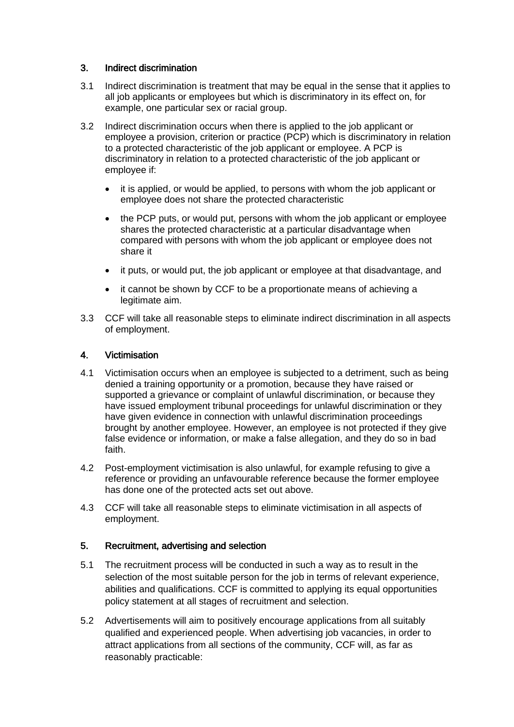# 3. Indirect discrimination

- 3.1 Indirect discrimination is treatment that may be equal in the sense that it applies to all job applicants or employees but which is discriminatory in its effect on, for example, one particular sex or racial group.
- 3.2 Indirect discrimination occurs when there is applied to the job applicant or employee a provision, criterion or practice (PCP) which is discriminatory in relation to a protected characteristic of the job applicant or employee. A PCP is discriminatory in relation to a protected characteristic of the job applicant or employee if:
	- it is applied, or would be applied, to persons with whom the job applicant or employee does not share the protected characteristic
	- the PCP puts, or would put, persons with whom the job applicant or employee shares the protected characteristic at a particular disadvantage when compared with persons with whom the job applicant or employee does not share it
	- it puts, or would put, the job applicant or employee at that disadvantage, and
	- it cannot be shown by CCF to be a proportionate means of achieving a legitimate aim.
- 3.3 CCF will take all reasonable steps to eliminate indirect discrimination in all aspects of employment.

## 4. Victimisation

- 4.1 Victimisation occurs when an employee is subjected to a detriment, such as being denied a training opportunity or a promotion, because they have raised or supported a grievance or complaint of unlawful discrimination, or because they have issued employment tribunal proceedings for unlawful discrimination or they have given evidence in connection with unlawful discrimination proceedings brought by another employee. However, an employee is not protected if they give false evidence or information, or make a false allegation, and they do so in bad faith.
- 4.2 Post-employment victimisation is also unlawful, for example refusing to give a reference or providing an unfavourable reference because the former employee has done one of the protected acts set out above.
- 4.3 CCF will take all reasonable steps to eliminate victimisation in all aspects of employment.

## 5. Recruitment, advertising and selection

- 5.1 The recruitment process will be conducted in such a way as to result in the selection of the most suitable person for the job in terms of relevant experience, abilities and qualifications. CCF is committed to applying its equal opportunities policy statement at all stages of recruitment and selection.
- 5.2 Advertisements will aim to positively encourage applications from all suitably qualified and experienced people. When advertising job vacancies, in order to attract applications from all sections of the community, CCF will, as far as reasonably practicable: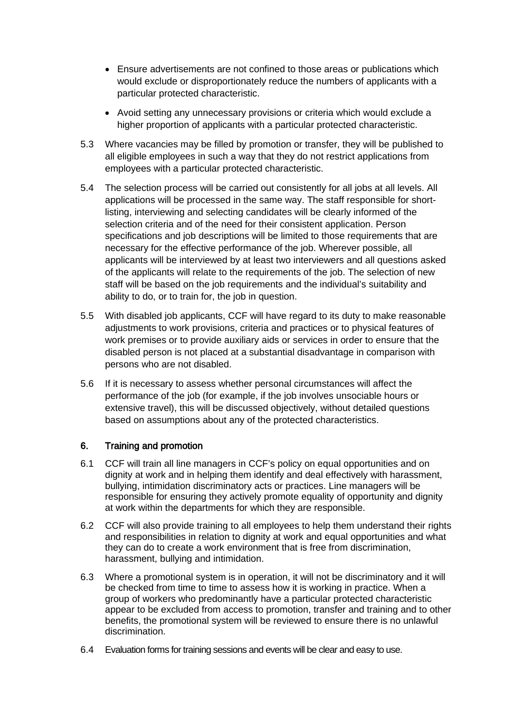- Ensure advertisements are not confined to those areas or publications which would exclude or disproportionately reduce the numbers of applicants with a particular protected characteristic.
- Avoid setting any unnecessary provisions or criteria which would exclude a higher proportion of applicants with a particular protected characteristic.
- 5.3 Where vacancies may be filled by promotion or transfer, they will be published to all eligible employees in such a way that they do not restrict applications from employees with a particular protected characteristic.
- 5.4 The selection process will be carried out consistently for all jobs at all levels. All applications will be processed in the same way. The staff responsible for shortlisting, interviewing and selecting candidates will be clearly informed of the selection criteria and of the need for their consistent application. Person specifications and job descriptions will be limited to those requirements that are necessary for the effective performance of the job. Wherever possible, all applicants will be interviewed by at least two interviewers and all questions asked of the applicants will relate to the requirements of the job. The selection of new staff will be based on the job requirements and the individual's suitability and ability to do, or to train for, the job in question.
- 5.5 With disabled job applicants, CCF will have regard to its duty to make reasonable adjustments to work provisions, criteria and practices or to physical features of work premises or to provide auxiliary aids or services in order to ensure that the disabled person is not placed at a substantial disadvantage in comparison with persons who are not disabled.
- 5.6 If it is necessary to assess whether personal circumstances will affect the performance of the job (for example, if the job involves unsociable hours or extensive travel), this will be discussed objectively, without detailed questions based on assumptions about any of the protected characteristics.

# 6. Training and promotion

- 6.1 CCF will train all line managers in CCF's policy on equal opportunities and on dignity at work and in helping them identify and deal effectively with harassment, bullying, intimidation discriminatory acts or practices. Line managers will be responsible for ensuring they actively promote equality of opportunity and dignity at work within the departments for which they are responsible.
- 6.2 CCF will also provide training to all employees to help them understand their rights and responsibilities in relation to dignity at work and equal opportunities and what they can do to create a work environment that is free from discrimination, harassment, bullying and intimidation.
- 6.3 Where a promotional system is in operation, it will not be discriminatory and it will be checked from time to time to assess how it is working in practice. When a group of workers who predominantly have a particular protected characteristic appear to be excluded from access to promotion, transfer and training and to other benefits, the promotional system will be reviewed to ensure there is no unlawful discrimination.
- 6.4 Evaluation forms for training sessions and events will be clear and easy to use.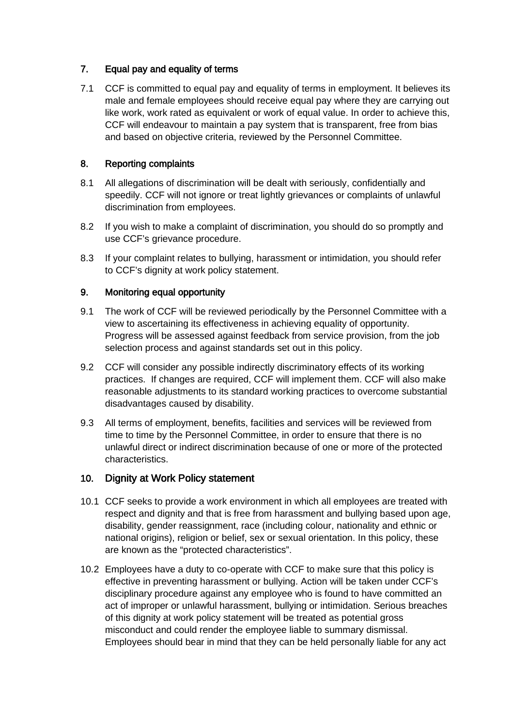# 7. Equal pay and equality of terms

7.1 CCF is committed to equal pay and equality of terms in employment. It believes its male and female employees should receive equal pay where they are carrying out like work, work rated as equivalent or work of equal value. In order to achieve this, CCF will endeavour to maintain a pay system that is transparent, free from bias and based on objective criteria, reviewed by the Personnel Committee.

# 8. Reporting complaints

- 8.1 All allegations of discrimination will be dealt with seriously, confidentially and speedily. CCF will not ignore or treat lightly grievances or complaints of unlawful discrimination from employees.
- 8.2 If you wish to make a complaint of discrimination, you should do so promptly and use CCF's grievance procedure.
- 8.3 If your complaint relates to bullying, harassment or intimidation, you should refer to CCF's dignity at work policy statement.

# 9. Monitoring equal opportunity

- 9.1 The work of CCF will be reviewed periodically by the Personnel Committee with a view to ascertaining its effectiveness in achieving equality of opportunity. Progress will be assessed against feedback from service provision, from the job selection process and against standards set out in this policy.
- 9.2 CCF will consider any possible indirectly discriminatory effects of its working practices. If changes are required, CCF will implement them. CCF will also make reasonable adjustments to its standard working practices to overcome substantial disadvantages caused by disability.
- 9.3 All terms of employment, benefits, facilities and services will be reviewed from time to time by the Personnel Committee, in order to ensure that there is no unlawful direct or indirect discrimination because of one or more of the protected characteristics.

# 10. Dignity at Work Policy statement

- 10.1 CCF seeks to provide a work environment in which all employees are treated with respect and dignity and that is free from harassment and bullying based upon age, disability, gender reassignment, race (including colour, nationality and ethnic or national origins), religion or belief, sex or sexual orientation. In this policy, these are known as the "protected characteristics".
- 10.2 Employees have a duty to co-operate with CCF to make sure that this policy is effective in preventing harassment or bullying. Action will be taken under CCF's disciplinary procedure against any employee who is found to have committed an act of improper or unlawful harassment, bullying or intimidation. Serious breaches of this dignity at work policy statement will be treated as potential gross misconduct and could render the employee liable to summary dismissal. Employees should bear in mind that they can be held personally liable for any act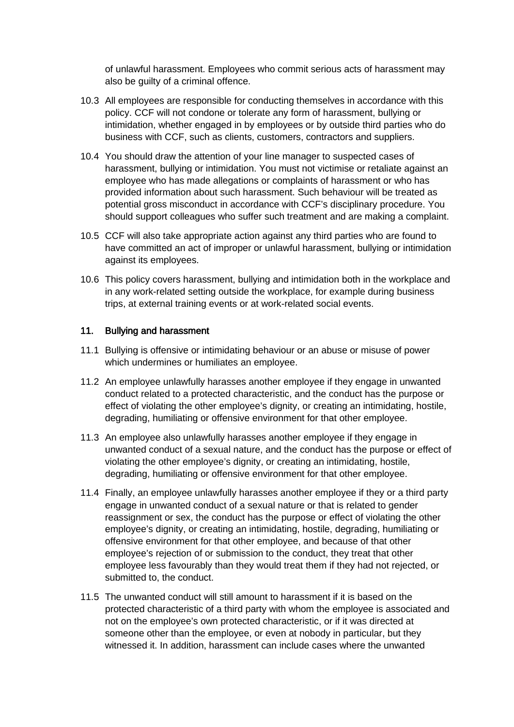of unlawful harassment. Employees who commit serious acts of harassment may also be guilty of a criminal offence.

- 10.3 All employees are responsible for conducting themselves in accordance with this policy. CCF will not condone or tolerate any form of harassment, bullying or intimidation, whether engaged in by employees or by outside third parties who do business with CCF, such as clients, customers, contractors and suppliers.
- 10.4 You should draw the attention of your line manager to suspected cases of harassment, bullying or intimidation. You must not victimise or retaliate against an employee who has made allegations or complaints of harassment or who has provided information about such harassment. Such behaviour will be treated as potential gross misconduct in accordance with CCF's disciplinary procedure. You should support colleagues who suffer such treatment and are making a complaint.
- 10.5 CCF will also take appropriate action against any third parties who are found to have committed an act of improper or unlawful harassment, bullying or intimidation against its employees.
- 10.6 This policy covers harassment, bullying and intimidation both in the workplace and in any work-related setting outside the workplace, for example during business trips, at external training events or at work-related social events.

## 11. Bullying and harassment

- 11.1 Bullying is offensive or intimidating behaviour or an abuse or misuse of power which undermines or humiliates an employee.
- 11.2 An employee unlawfully harasses another employee if they engage in unwanted conduct related to a protected characteristic, and the conduct has the purpose or effect of violating the other employee's dignity, or creating an intimidating, hostile, degrading, humiliating or offensive environment for that other employee.
- 11.3 An employee also unlawfully harasses another employee if they engage in unwanted conduct of a sexual nature, and the conduct has the purpose or effect of violating the other employee's dignity, or creating an intimidating, hostile, degrading, humiliating or offensive environment for that other employee.
- 11.4 Finally, an employee unlawfully harasses another employee if they or a third party engage in unwanted conduct of a sexual nature or that is related to gender reassignment or sex, the conduct has the purpose or effect of violating the other employee's dignity, or creating an intimidating, hostile, degrading, humiliating or offensive environment for that other employee, and because of that other employee's rejection of or submission to the conduct, they treat that other employee less favourably than they would treat them if they had not rejected, or submitted to, the conduct.
- 11.5 The unwanted conduct will still amount to harassment if it is based on the protected characteristic of a third party with whom the employee is associated and not on the employee's own protected characteristic, or if it was directed at someone other than the employee, or even at nobody in particular, but they witnessed it. In addition, harassment can include cases where the unwanted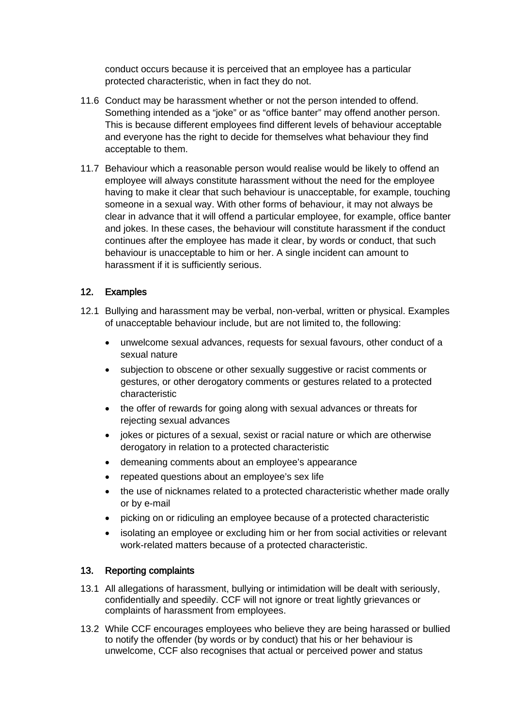conduct occurs because it is perceived that an employee has a particular protected characteristic, when in fact they do not.

- 11.6 Conduct may be harassment whether or not the person intended to offend. Something intended as a "joke" or as "office banter" may offend another person. This is because different employees find different levels of behaviour acceptable and everyone has the right to decide for themselves what behaviour they find acceptable to them.
- 11.7 Behaviour which a reasonable person would realise would be likely to offend an employee will always constitute harassment without the need for the employee having to make it clear that such behaviour is unacceptable, for example, touching someone in a sexual way. With other forms of behaviour, it may not always be clear in advance that it will offend a particular employee, for example, office banter and jokes. In these cases, the behaviour will constitute harassment if the conduct continues after the employee has made it clear, by words or conduct, that such behaviour is unacceptable to him or her. A single incident can amount to harassment if it is sufficiently serious.

## 12. Examples

- 12.1 Bullying and harassment may be verbal, non-verbal, written or physical. Examples of unacceptable behaviour include, but are not limited to, the following:
	- unwelcome sexual advances, requests for sexual favours, other conduct of a sexual nature
	- subjection to obscene or other sexually suggestive or racist comments or gestures, or other derogatory comments or gestures related to a protected characteristic
	- the offer of rewards for going along with sexual advances or threats for rejecting sexual advances
	- jokes or pictures of a sexual, sexist or racial nature or which are otherwise derogatory in relation to a protected characteristic
	- demeaning comments about an employee's appearance
	- repeated questions about an employee's sex life
	- the use of nicknames related to a protected characteristic whether made orally or by e-mail
	- picking on or ridiculing an employee because of a protected characteristic
	- isolating an employee or excluding him or her from social activities or relevant work-related matters because of a protected characteristic.

## 13. Reporting complaints

- 13.1 All allegations of harassment, bullying or intimidation will be dealt with seriously, confidentially and speedily. CCF will not ignore or treat lightly grievances or complaints of harassment from employees.
- 13.2 While CCF encourages employees who believe they are being harassed or bullied to notify the offender (by words or by conduct) that his or her behaviour is unwelcome, CCF also recognises that actual or perceived power and status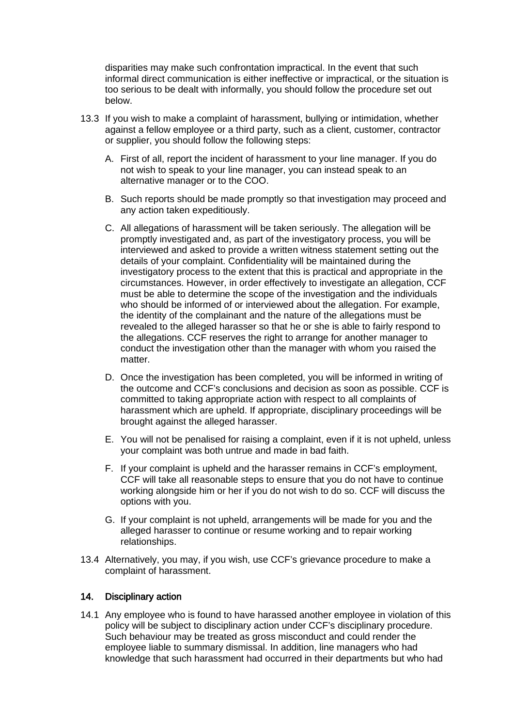disparities may make such confrontation impractical. In the event that such informal direct communication is either ineffective or impractical, or the situation is too serious to be dealt with informally, you should follow the procedure set out below.

- 13.3 If you wish to make a complaint of harassment, bullying or intimidation, whether against a fellow employee or a third party, such as a client, customer, contractor or supplier, you should follow the following steps:
	- A. First of all, report the incident of harassment to your line manager. If you do not wish to speak to your line manager, you can instead speak to an alternative manager or to the COO.
	- B. Such reports should be made promptly so that investigation may proceed and any action taken expeditiously.
	- C. All allegations of harassment will be taken seriously. The allegation will be promptly investigated and, as part of the investigatory process, you will be interviewed and asked to provide a written witness statement setting out the details of your complaint. Confidentiality will be maintained during the investigatory process to the extent that this is practical and appropriate in the circumstances. However, in order effectively to investigate an allegation, CCF must be able to determine the scope of the investigation and the individuals who should be informed of or interviewed about the allegation. For example, the identity of the complainant and the nature of the allegations must be revealed to the alleged harasser so that he or she is able to fairly respond to the allegations. CCF reserves the right to arrange for another manager to conduct the investigation other than the manager with whom you raised the matter.
	- D. Once the investigation has been completed, you will be informed in writing of the outcome and CCF's conclusions and decision as soon as possible. CCF is committed to taking appropriate action with respect to all complaints of harassment which are upheld. If appropriate, disciplinary proceedings will be brought against the alleged harasser.
	- E. You will not be penalised for raising a complaint, even if it is not upheld, unless your complaint was both untrue and made in bad faith.
	- F. If your complaint is upheld and the harasser remains in CCF's employment, CCF will take all reasonable steps to ensure that you do not have to continue working alongside him or her if you do not wish to do so. CCF will discuss the options with you.
	- G. If your complaint is not upheld, arrangements will be made for you and the alleged harasser to continue or resume working and to repair working relationships.
- 13.4 Alternatively, you may, if you wish, use CCF's grievance procedure to make a complaint of harassment.

## 14. Disciplinary action

14.1 Any employee who is found to have harassed another employee in violation of this policy will be subject to disciplinary action under CCF's disciplinary procedure. Such behaviour may be treated as gross misconduct and could render the employee liable to summary dismissal. In addition, line managers who had knowledge that such harassment had occurred in their departments but who had